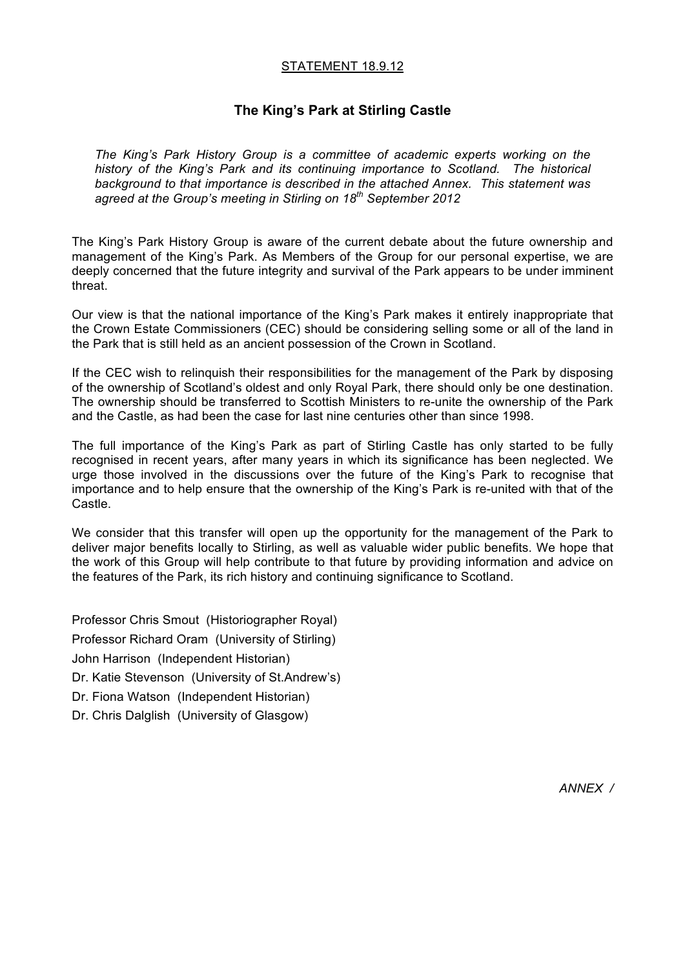## STATEMENT 18.9.12

# **The King's Park at Stirling Castle**

*The King's Park History Group is a committee of academic experts working on the history of the King's Park and its continuing importance to Scotland. The historical background to that importance is described in the attached Annex. This statement was agreed at the Group's meeting in Stirling on 18th September 2012*

The King's Park History Group is aware of the current debate about the future ownership and management of the King's Park. As Members of the Group for our personal expertise, we are deeply concerned that the future integrity and survival of the Park appears to be under imminent threat.

Our view is that the national importance of the King's Park makes it entirely inappropriate that the Crown Estate Commissioners (CEC) should be considering selling some or all of the land in the Park that is still held as an ancient possession of the Crown in Scotland.

If the CEC wish to relinquish their responsibilities for the management of the Park by disposing of the ownership of Scotland's oldest and only Royal Park, there should only be one destination. The ownership should be transferred to Scottish Ministers to re-unite the ownership of the Park and the Castle, as had been the case for last nine centuries other than since 1998.

The full importance of the King's Park as part of Stirling Castle has only started to be fully recognised in recent years, after many years in which its significance has been neglected. We urge those involved in the discussions over the future of the King's Park to recognise that importance and to help ensure that the ownership of the King's Park is re-united with that of the Castle.

We consider that this transfer will open up the opportunity for the management of the Park to deliver major benefits locally to Stirling, as well as valuable wider public benefits. We hope that the work of this Group will help contribute to that future by providing information and advice on the features of the Park, its rich history and continuing significance to Scotland.

Professor Chris Smout (Historiographer Royal) Professor Richard Oram (University of Stirling) John Harrison (Independent Historian) Dr. Katie Stevenson (University of St.Andrew's) Dr. Fiona Watson (Independent Historian) Dr. Chris Dalglish (University of Glasgow)

*ANNEX /*